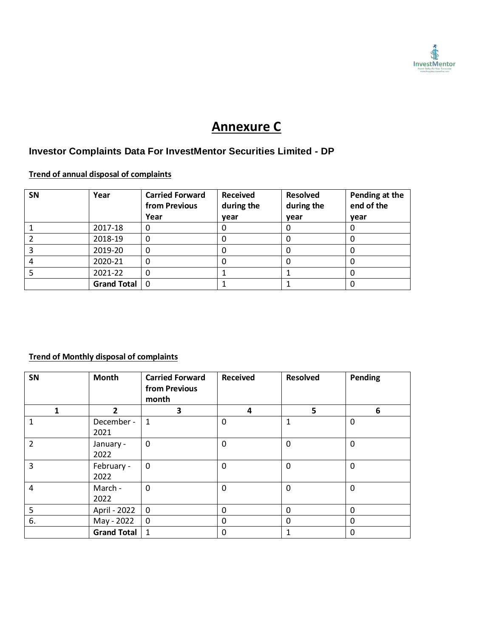

# **Annexure C**

## **Investor Complaints Data For InvestMentor Securities Limited - DP**

## **Trend of annual disposal of complaints**

| <b>SN</b> | Year               | <b>Carried Forward</b><br>from Previous<br>Year | <b>Received</b><br>during the<br>year | <b>Resolved</b><br>during the<br>year | Pending at the<br>end of the<br>year |  |
|-----------|--------------------|-------------------------------------------------|---------------------------------------|---------------------------------------|--------------------------------------|--|
|           | 2017-18            | 0                                               | 0                                     |                                       | U                                    |  |
|           | 2018-19            | 0                                               | 0                                     |                                       |                                      |  |
|           | 2019-20            | 0                                               | 0                                     |                                       | O                                    |  |
|           | 2020-21            | 0                                               | 0                                     |                                       |                                      |  |
|           | 2021-22            | 0                                               |                                       |                                       |                                      |  |
|           | <b>Grand Total</b> | 0                                               |                                       |                                       |                                      |  |

### **Trend of Monthly disposal of complaints**

| SN             | <b>Month</b>       | <b>Carried Forward</b><br>from Previous<br>month | <b>Received</b> | <b>Resolved</b> | Pending      |
|----------------|--------------------|--------------------------------------------------|-----------------|-----------------|--------------|
| 1              | 2                  | 3                                                | 4               | 5               | 6            |
| 1              | December -<br>2021 | $\mathbf{1}$                                     | 0               | 1               | $\mathbf{0}$ |
| $\overline{2}$ | January -<br>2022  | 0                                                | $\mathbf 0$     | $\mathbf{0}$    | $\mathbf 0$  |
| 3              | February -<br>2022 | $\mathbf{0}$                                     | $\mathbf 0$     | $\mathbf{0}$    | $\mathbf{0}$ |
| 4              | March -<br>2022    | $\mathbf 0$                                      | $\mathbf 0$     | $\Omega$        | $\mathbf 0$  |
| 5              | April - 2022       | $\mathbf 0$                                      | $\mathbf{0}$    | $\mathbf{0}$    | $\Omega$     |
| 6.             | May - 2022         | 0                                                | 0               | 0               | $\Omega$     |
|                | <b>Grand Total</b> | $\mathbf{1}$                                     | $\mathbf 0$     | 1               | $\Omega$     |